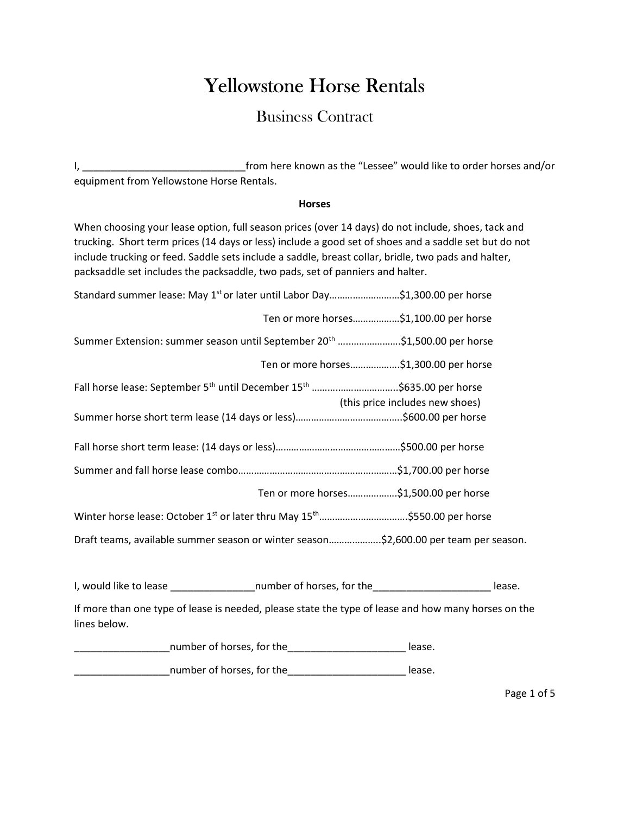# Yellowstone Horse Rentals

## Business Contract

I, \_\_\_\_\_\_\_\_\_\_\_\_\_\_\_\_\_\_\_\_\_\_\_\_\_\_\_\_\_from here known as the "Lessee" would like to order horses and/or equipment from Yellowstone Horse Rentals.

#### Horses

When choosing your lease option, full season prices (over 14 days) do not include, shoes, tack and trucking. Short term prices (14 days or less) include a good set of shoes and a saddle set but do not include trucking or feed. Saddle sets include a saddle, breast collar, bridle, two pads and halter, packsaddle set includes the packsaddle, two pads, set of panniers and halter.

| Standard summer lease: May 1 <sup>st</sup> or later until Labor Day\$1,300.00 per horse                                           |        |
|-----------------------------------------------------------------------------------------------------------------------------------|--------|
| Ten or more horses\$1,100.00 per horse                                                                                            |        |
| Summer Extension: summer season until September 20 <sup>th</sup> \$1,500.00 per horse                                             |        |
| Ten or more horses\$1,300.00 per horse                                                                                            |        |
| Fall horse lease: September 5 <sup>th</sup> until December 15 <sup>th</sup> \$635.00 per horse<br>(this price includes new shoes) |        |
|                                                                                                                                   |        |
|                                                                                                                                   |        |
| Ten or more horses\$1,500.00 per horse                                                                                            |        |
|                                                                                                                                   |        |
| Draft teams, available summer season or winter season\$2,600.00 per team per season.                                              |        |
|                                                                                                                                   | lease. |

If more than one type of lease is needed, please state the type of lease and how many horses on the lines below.

| number of horses, for the | lease. |
|---------------------------|--------|
| number of horses, for the | lease. |

Page 1 of 5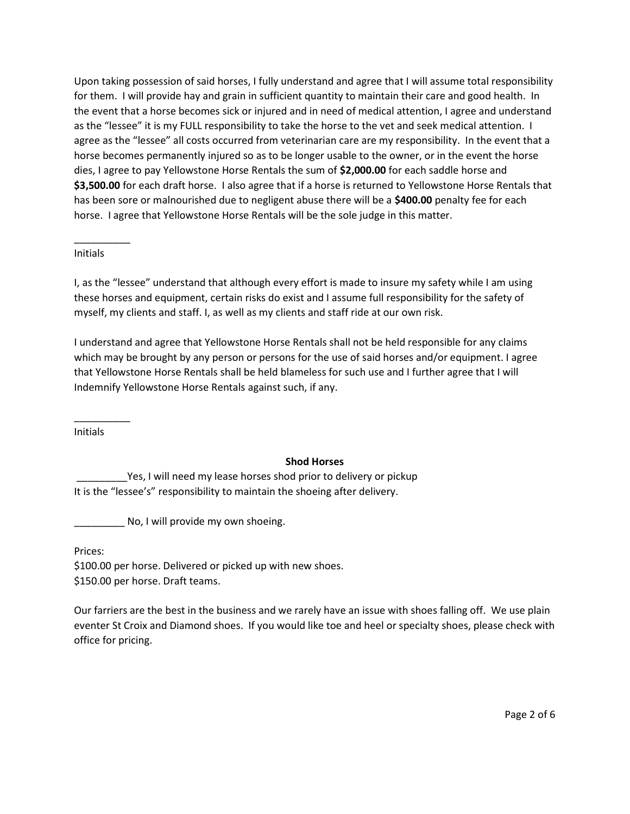Upon taking possession of said horses, I fully understand and agree that I will assume total responsibility for them. I will provide hay and grain in sufficient quantity to maintain their care and good health. In the event that a horse becomes sick or injured and in need of medical attention, I agree and understand as the "lessee" it is my FULL responsibility to take the horse to the vet and seek medical attention. I agree as the "lessee" all costs occurred from veterinarian care are my responsibility. In the event that a horse becomes permanently injured so as to be longer usable to the owner, or in the event the horse dies, I agree to pay Yellowstone Horse Rentals the sum of \$2,000.00 for each saddle horse and \$3,500.00 for each draft horse. I also agree that if a horse is returned to Yellowstone Horse Rentals that has been sore or malnourished due to negligent abuse there will be a \$400.00 penalty fee for each horse. I agree that Yellowstone Horse Rentals will be the sole judge in this matter.

#### Initials

 $\overline{\phantom{a}}$ 

I, as the "lessee" understand that although every effort is made to insure my safety while I am using these horses and equipment, certain risks do exist and I assume full responsibility for the safety of myself, my clients and staff. I, as well as my clients and staff ride at our own risk.

I understand and agree that Yellowstone Horse Rentals shall not be held responsible for any claims which may be brought by any person or persons for the use of said horses and/or equipment. I agree that Yellowstone Horse Rentals shall be held blameless for such use and I further agree that I will Indemnify Yellowstone Horse Rentals against such, if any.

Initials

\_\_\_\_\_\_\_\_\_\_

#### Shod Horses

Yes, I will need my lease horses shod prior to delivery or pickup It is the "lessee's" responsibility to maintain the shoeing after delivery.

No, I will provide my own shoeing.

Prices:

\$100.00 per horse. Delivered or picked up with new shoes. \$150.00 per horse. Draft teams.

Our farriers are the best in the business and we rarely have an issue with shoes falling off. We use plain eventer St Croix and Diamond shoes. If you would like toe and heel or specialty shoes, please check with office for pricing.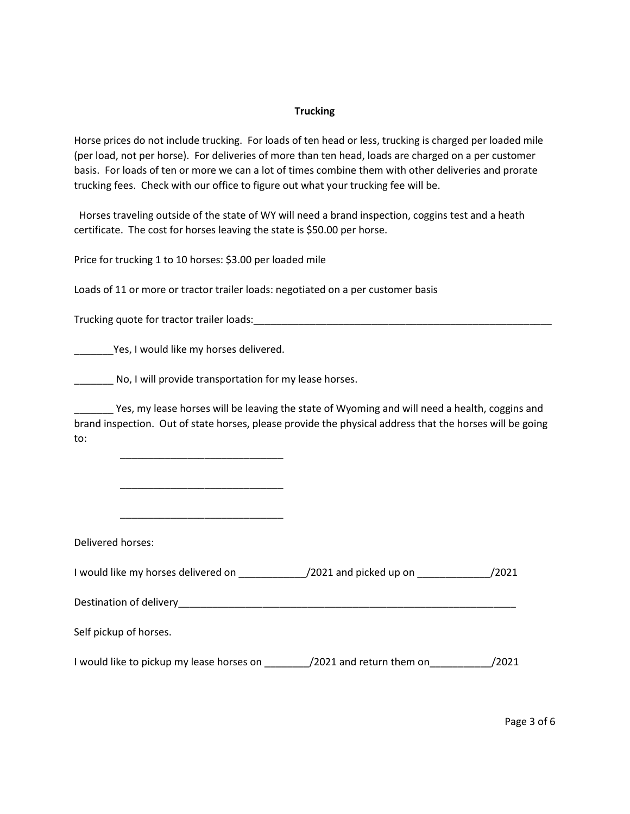#### **Trucking**

Horse prices do not include trucking. For loads of ten head or less, trucking is charged per loaded mile (per load, not per horse). For deliveries of more than ten head, loads are charged on a per customer basis. For loads of ten or more we can a lot of times combine them with other deliveries and prorate trucking fees. Check with our office to figure out what your trucking fee will be.

 Horses traveling outside of the state of WY will need a brand inspection, coggins test and a heath certificate. The cost for horses leaving the state is \$50.00 per horse.

Price for trucking 1 to 10 horses: \$3.00 per loaded mile

Loads of 11 or more or tractor trailer loads: negotiated on a per customer basis

Trucking quote for tractor trailer loads:\_\_\_\_\_\_\_\_\_\_\_\_\_\_\_\_\_\_\_\_\_\_\_\_\_\_\_\_\_\_\_\_\_\_\_\_\_\_\_\_\_\_\_\_\_\_\_\_\_\_\_\_\_

\_\_\_\_\_\_\_Yes, I would like my horses delivered.

 $\overline{\phantom{a}}$  ,  $\overline{\phantom{a}}$  ,  $\overline{\phantom{a}}$  ,  $\overline{\phantom{a}}$  ,  $\overline{\phantom{a}}$  ,  $\overline{\phantom{a}}$  ,  $\overline{\phantom{a}}$  ,  $\overline{\phantom{a}}$  ,  $\overline{\phantom{a}}$  ,  $\overline{\phantom{a}}$  ,  $\overline{\phantom{a}}$  ,  $\overline{\phantom{a}}$  ,  $\overline{\phantom{a}}$  ,  $\overline{\phantom{a}}$  ,  $\overline{\phantom{a}}$  ,  $\overline{\phantom{a}}$ 

 $\overline{\phantom{a}}$  ,  $\overline{\phantom{a}}$  ,  $\overline{\phantom{a}}$  ,  $\overline{\phantom{a}}$  ,  $\overline{\phantom{a}}$  ,  $\overline{\phantom{a}}$  ,  $\overline{\phantom{a}}$  ,  $\overline{\phantom{a}}$  ,  $\overline{\phantom{a}}$  ,  $\overline{\phantom{a}}$  ,  $\overline{\phantom{a}}$  ,  $\overline{\phantom{a}}$  ,  $\overline{\phantom{a}}$  ,  $\overline{\phantom{a}}$  ,  $\overline{\phantom{a}}$  ,  $\overline{\phantom{a}}$ 

No, I will provide transportation for my lease horses.

\_\_\_\_\_\_\_ Yes, my lease horses will be leaving the state of Wyoming and will need a health, coggins and brand inspection. Out of state horses, please provide the physical address that the horses will be going to:

| Delivered horses:                           |                          |       |
|---------------------------------------------|--------------------------|-------|
| I would like my horses delivered on         | /2021 and picked up on   | /2021 |
| Destination of delivery                     |                          |       |
| Self pickup of horses.                      |                          |       |
| I would like to pickup my lease horses on _ | /2021 and return them on | /2021 |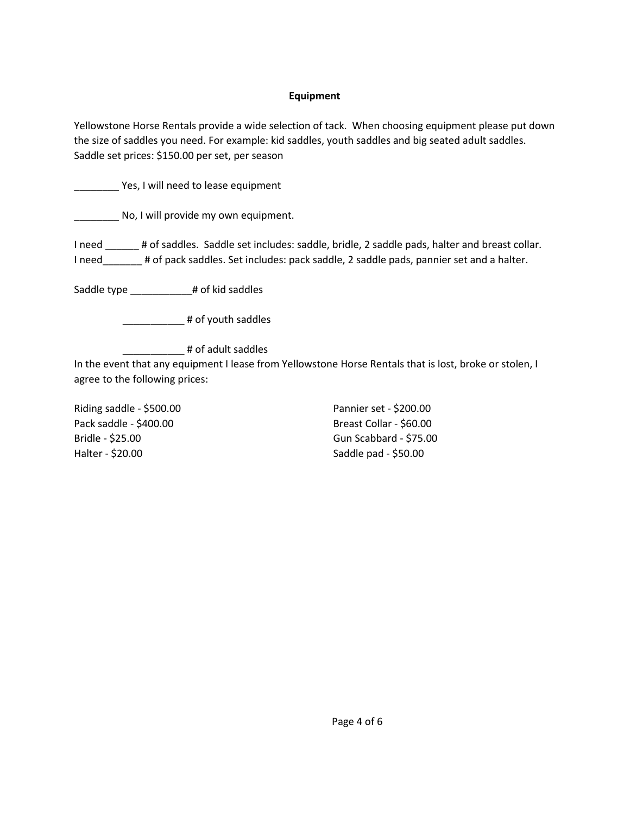#### Equipment

Yellowstone Horse Rentals provide a wide selection of tack. When choosing equipment please put down the size of saddles you need. For example: kid saddles, youth saddles and big seated adult saddles. Saddle set prices: \$150.00 per set, per season

**Notally** Yes, I will need to lease equipment

No, I will provide my own equipment.

I need # of saddles. Saddle set includes: saddle, bridle, 2 saddle pads, halter and breast collar. I need\_\_\_\_\_\_\_ # of pack saddles. Set includes: pack saddle, 2 saddle pads, pannier set and a halter.

Saddle type \_\_\_\_\_\_\_\_\_\_# of kid saddles

\_\_\_\_\_\_\_\_\_\_\_\_\_\_ # of youth saddles

\_\_\_\_\_\_\_\_\_\_\_ # of adult saddles

In the event that any equipment I lease from Yellowstone Horse Rentals that is lost, broke or stolen, I agree to the following prices:

Riding saddle - \$500.00 Pack saddle - \$400.00 Bridle - \$25.00 Halter - \$20.00

Pannier set - \$200.00 Breast Collar - \$60.00 Gun Scabbard - \$75.00 Saddle pad - \$50.00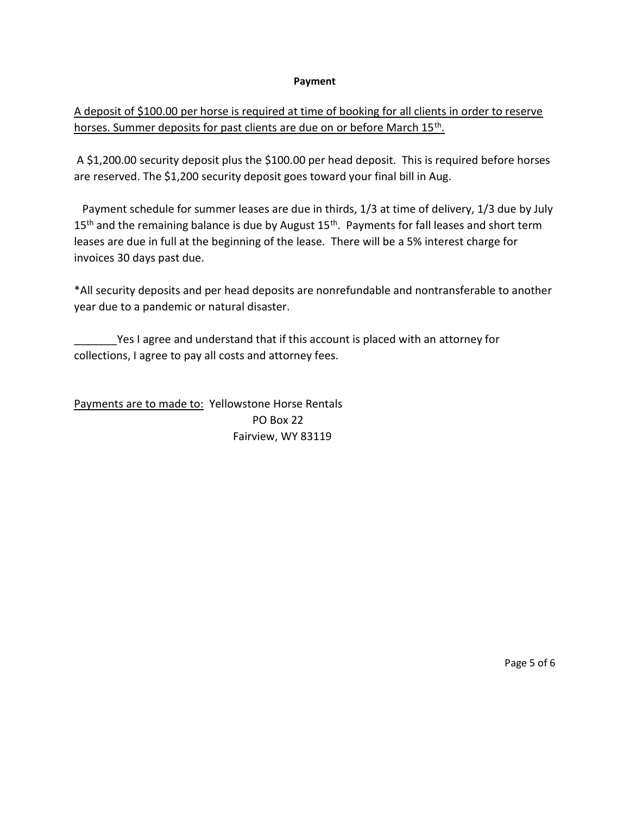#### Payment

### A deposit of \$100.00 per horse is required at time of booking for all clients in order to reserve horses. Summer deposits for past clients are due on or before March 15<sup>th</sup>.

 A \$1,200.00 security deposit plus the \$100.00 per head deposit. This is required before horses are reserved. The \$1,200 security deposit goes toward your final bill in Aug.

 Payment schedule for summer leases are due in thirds, 1/3 at time of delivery, 1/3 due by July 15<sup>th</sup> and the remaining balance is due by August 15<sup>th</sup>. Payments for fall leases and short term leases are due in full at the beginning of the lease. There will be a 5% interest charge for invoices 30 days past due.

\*All security deposits and per head deposits are nonrefundable and nontransferable to another year due to a pandemic or natural disaster.

Yes I agree and understand that if this account is placed with an attorney for collections, I agree to pay all costs and attorney fees.

Payments are to made to: Yellowstone Horse Rentals PO Box 22 Fairview, WY 83119